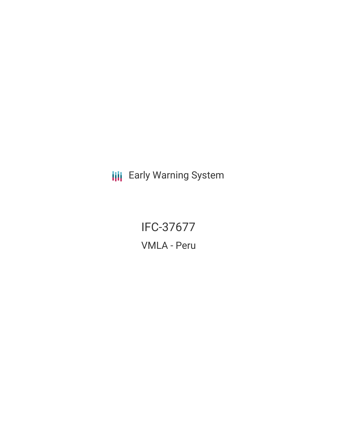**III** Early Warning System

IFC-37677 VMLA - Peru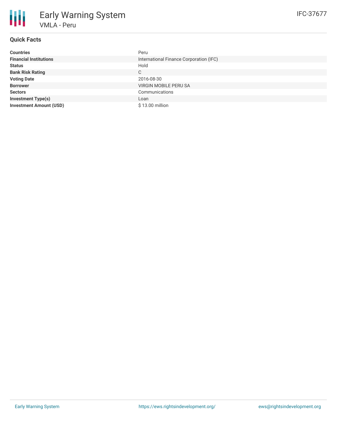## **Quick Facts**

| <b>Countries</b>               | Peru                                    |
|--------------------------------|-----------------------------------------|
| <b>Financial Institutions</b>  | International Finance Corporation (IFC) |
| <b>Status</b>                  | Hold                                    |
| <b>Bank Risk Rating</b>        | C                                       |
| <b>Voting Date</b>             | 2016-08-30                              |
| <b>Borrower</b>                | <b>VIRGIN MOBILE PERU SA</b>            |
| <b>Sectors</b>                 | Communications                          |
| <b>Investment Type(s)</b>      | Loan                                    |
| <b>Investment Amount (USD)</b> | \$13.00 million                         |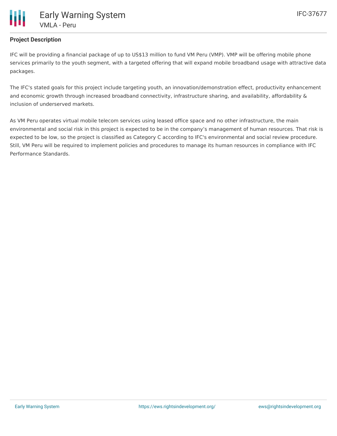

## **Project Description**

IFC will be providing a financial package of up to US\$13 million to fund VM Peru (VMP). VMP will be offering mobile phone services primarily to the youth segment, with a targeted offering that will expand mobile broadband usage with attractive data packages.

The IFC's stated goals for this project include targeting youth, an innovation/demonstration effect, productivity enhancement and economic growth through increased broadband connectivity, infrastructure sharing, and availability, affordability & inclusion of underserved markets.

As VM Peru operates virtual mobile telecom services using leased office space and no other infrastructure, the main environmental and social risk in this project is expected to be in the company's management of human resources. That risk is expected to be low, so the project is classified as Category C according to IFC's environmental and social review procedure. Still, VM Peru will be required to implement policies and procedures to manage its human resources in compliance with IFC Performance Standards.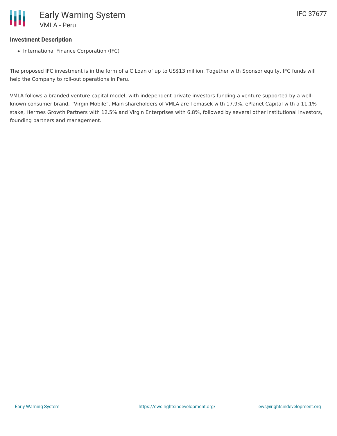## **Investment Description**

• International Finance Corporation (IFC)

The proposed IFC investment is in the form of a C Loan of up to US\$13 million. Together with Sponsor equity, IFC funds will help the Company to roll-out operations in Peru.

VMLA follows a branded venture capital model, with independent private investors funding a venture supported by a wellknown consumer brand, "Virgin Mobile". Main shareholders of VMLA are Temasek with 17.9%, ePlanet Capital with a 11.1% stake, Hermes Growth Partners with 12.5% and Virgin Enterprises with 6.8%, followed by several other institutional investors, founding partners and management.